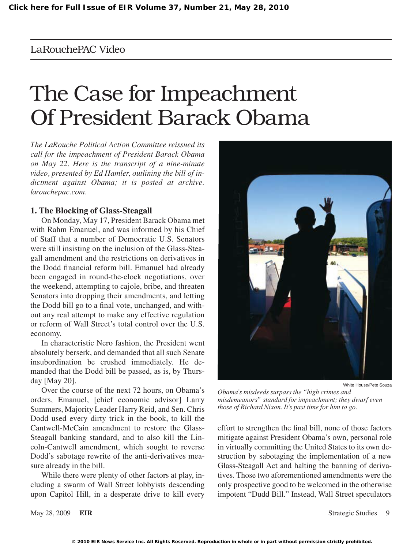# LaRouchePAC Video

# The Case for Impeachment Of President Barack Obama

*The LaRouche Political Action Committee reissued its call for the impeachment of President Barack Obama on May 22. Here is the transcript of a [nine-minute](http://archive.larouchepac.com/node/14564)  [video,](http://archive.larouchepac.com/node/14564) presented by Ed Hamler, outlining the bill of indictment against Obama; it is posted at [archive.](http://archive.larouchepac.com/node/14564) [larouchepac.com.](http://archive.larouchepac.com/node/14564)*

## **1. The Blocking of Glass-Steagall**

On Monday, May 17, President Barack Obama met with Rahm Emanuel, and was informed by his Chief of Staff that a number of Democratic U.S. Senators were still insisting on the inclusion of the Glass-Steagall amendment and the restrictions on derivatives in the Dodd financial reform bill. Emanuel had already been engaged in round-the-clock negotiations, over the weekend, attempting to cajole, bribe, and threaten Senators into dropping their amendments, and letting the Dodd bill go to a final vote, unchanged, and without any real attempt to make any effective regulation or reform of Wall Street's total control over the U.S. economy.

In characteristic Nero fashion, the President went absolutely berserk, and demanded that all such Senate insubordination be crushed immediately. He demanded that the Dodd bill be passed, as is, by Thursday [May 20].

Over the course of the next 72 hours, on Obama's orders, Emanuel, [chief economic advisor] Larry Summers, Majority Leader Harry Reid, and Sen. Chris Dodd used every dirty trick in the book, to kill the Cantwell-McCain amendment to restore the Glass-Steagall banking standard, and to also kill the Lincoln-Cantwell amendment, which sought to reverse Dodd's sabotage rewrite of the anti-derivatives measure already in the bill.

While there were plenty of other factors at play, including a swarm of Wall Street lobbyists descending upon Capitol Hill, in a desperate drive to kill every



*Obama's misdeeds surpass the "high crimes and misdemeanors" standard for impeachment; they dwarf even those of Richard Nixon. It's past time for him to go.*

effort to strengthen the final bill, none of those factors mitigate against President Obama's own, personal role in virtually committing the United States to its own destruction by sabotaging the implementation of a new Glass-Steagall Act and halting the banning of derivatives. Those two aforementioned amendments were the only prospective good to be welcomed in the otherwise impotent "Dudd Bill." Instead, Wall Street speculators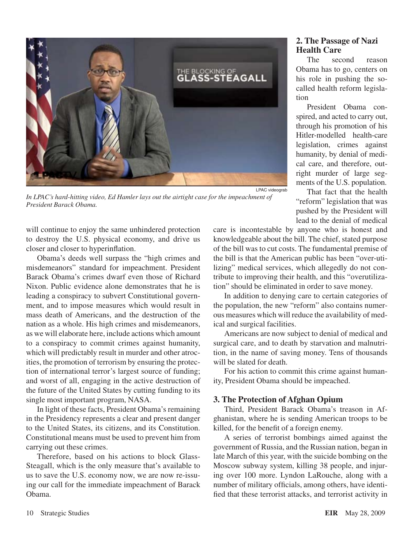

LPAC videograb

*In LPAC's hard-hitting video, Ed Hamler lays out the airtight case for the impeachment of President Barack Obama.*

will continue to enjoy the same unhindered protection to destroy the U.S. physical economy, and drive us closer and closer to hyperinflation.

Obama's deeds well surpass the "high crimes and misdemeanors" standard for impeachment. President Barack Obama's crimes dwarf even those of Richard Nixon. Public evidence alone demonstrates that he is leading a conspiracy to subvert Constitutional government, and to impose measures which would result in mass death of Americans, and the destruction of the nation as a whole. His high crimes and misdemeanors, as we will elaborate here, include actions which amount to a conspiracy to commit crimes against humanity, which will predictably result in murder and other atrocities, the promotion of terrorism by ensuring the protection of international terror's largest source of funding; and worst of all, engaging in the active destruction of the future of the United States by cutting funding to its single most important program, NASA.

In light of these facts, President Obama's remaining in the Presidency represents a clear and present danger to the United States, its citizens, and its Constitution. Constitutional means must be used to prevent him from carrying out these crimes.

Therefore, based on his actions to block Glass-Steagall, which is the only measure that's available to us to save the U.S. economy now, we are now re-issuing our call for the immediate impeachment of Barack Obama.

# **2. The Passage of Nazi Health Care**

The second reason Obama has to go, centers on his role in pushing the socalled health reform legislation

President Obama conspired, and acted to carry out, through his promotion of his Hitler-modelled health-care legislation, crimes against humanity, by denial of medical care, and therefore, outright murder of large segments of the U.S. population.

That fact that the health "reform" legislation that was pushed by the President will lead to the denial of medical

care is incontestable by anyone who is honest and knowledgeable about the bill. The chief, stated purpose of the bill was to cut costs. The fundamental premise of the bill is that the American public has been "over-utilizing" medical services, which allegedly do not contribute to improving their health, and this "overutilization" should be eliminated in order to save money.

In addition to denying care to certain categories of the population, the new "reform" also contains numerous measures which will reduce the availability of medical and surgical facilities.

Americans are now subject to denial of medical and surgical care, and to death by starvation and malnutrition, in the name of saving money. Tens of thousands will be slated for death.

For his action to commit this crime against humanity, President Obama should be impeached.

# **3. The Protection of Afghan Opium**

Third, President Barack Obama's treason in Afghanistan, where he is sending American troops to be killed, for the benefit of a foreign enemy.

A series of terrorist bombings aimed against the government of Russia, and the Russian nation, began in late March of this year, with the suicide bombing on the Moscow subway system, killing 38 people, and injuring over 100 more. Lyndon LaRouche, along with a number of military officials, among others, have identified that these terrorist attacks, and terrorist activity in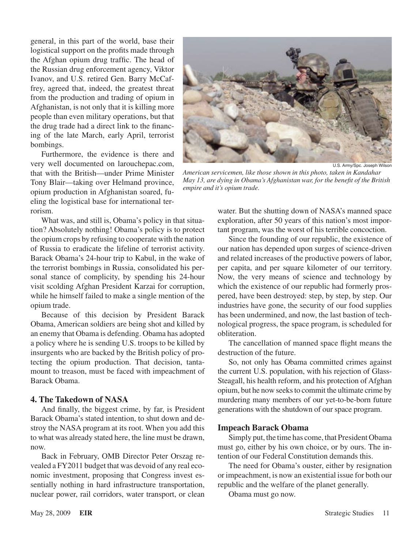general, in this part of the world, base their logistical support on the profits made through the Afghan opium drug traffic. The head of the Russian drug enforcement agency, Viktor Ivanov, and U.S. retired Gen. Barry McCaffrey, agreed that, indeed, the greatest threat from the production and trading of opium in Afghanistan, is not only that it is killing more people than even military operations, but that the drug trade had a direct link to the financing of the late March, early April, terrorist bombings.

Furthermore, the evidence is there and very well documented on larouchepac.com, that with the British—under Prime Minister Tony Blair—taking over Helmand province, opium production in Afghanistan soared, fueling the logistical base for international terrorism.

What was, and still is, Obama's policy in that situation? Absolutely nothing! Obama's policy is to protect the opium crops by refusing to cooperate with the nation of Russia to eradicate the lifeline of terrorist activity. Barack Obama's 24-hour trip to Kabul, in the wake of the terrorist bombings in Russia, consolidated his personal stance of complicity, by spending his 24-hour visit scolding Afghan President Karzai for corruption, while he himself failed to make a single mention of the opium trade.

Because of this decision by President Barack Obama, American soldiers are being shot and killed by an enemy that Obama is defending. Obama has adopted a policy where he is sending U.S. troops to be killed by insurgents who are backed by the British policy of protecting the opium production. That decision, tantamount to treason, must be faced with impeachment of Barack Obama.

### **4. The Takedown of NASA**

And finally, the biggest crime, by far, is President Barack Obama's stated intention, to shut down and destroy the NASA program at its root. When you add this to what was already stated here, the line must be drawn, now.

Back in February, OMB Director Peter Orszag revealed a FY2011 budget that was devoid of any real economic investment, proposing that Congress invest essentially nothing in hard infrastructure transportation, nuclear power, rail corridors, water transport, or clean



U.S. Army/Spc. Joseph Wilson

*American servicemen, like those shown in this photo, taken in Kandahar May 13, are dying in Obama's Afghanistan war, for the benefit of the British empire and it's opium trade.*

water. But the shutting down of NASA's manned space exploration, after 50 years of this nation's most important program, was the worst of his terrible concoction.

Since the founding of our republic, the existence of our nation has depended upon surges of science-driven and related increases of the productive powers of labor, per capita, and per square kilometer of our territory. Now, the very means of science and technology by which the existence of our republic had formerly prospered, have been destroyed: step, by step, by step. Our industries have gone, the security of our food supplies has been undermined, and now, the last bastion of technological progress, the space program, is scheduled for obliteration.

The cancellation of manned space flight means the destruction of the future.

So, not only has Obama committed crimes against the current U.S. population, with his rejection of Glass-Steagall, his health reform, and his protection of Afghan opium, but he now seeks to commit the ultimate crime by murdering many members of our yet-to-be-born future generations with the shutdown of our space program.

### **Impeach Barack Obama**

Simply put, the time has come, that President Obama must go, either by his own choice, or by ours. The intention of our Federal Constitution demands this.

The need for Obama's ouster, either by resignation or impeachment, is now an existential issue for both our republic and the welfare of the planet generally.

Obama must go now.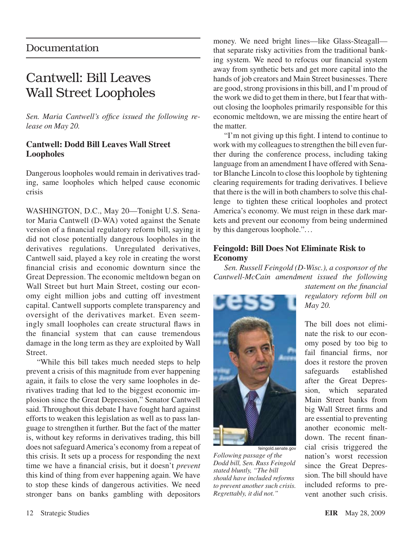# Documentation

# Cantwell: Bill Leaves Wall Street Loopholes

*Sen. Maria Cantwell's office issued the following release on May 20.*

# **Cantwell: Dodd Bill Leaves Wall Street Loopholes**

Dangerous loopholes would remain in derivatives trading, same loopholes which helped cause economic crisis

WASHINGTON, D.C., May 20—Tonight U.S. Senator Maria Cantwell (D-WA) voted against the Senate version of a financial regulatory reform bill, saying it did not close potentially dangerous loopholes in the derivatives regulations. Unregulated derivatives, Cantwell said, played a key role in creating the worst financial crisis and economic downturn since the Great Depression. The economic meltdown began on Wall Street but hurt Main Street, costing our economy eight million jobs and cutting off investment capital. Cantwell supports complete transparency and oversight of the derivatives market. Even seemingly small loopholes can create structural flaws in the financial system that can cause tremendous damage in the long term as they are exploited by Wall Street.

"While this bill takes much needed steps to help prevent a crisis of this magnitude from ever happening again, it fails to close the very same loopholes in derivatives trading that led to the biggest economic implosion since the Great Depression," Senator Cantwell said. Throughout this debate I have fought hard against efforts to weaken this legislation as well as to pass language to strengthen it further. But the fact of the matter is, without key reforms in derivatives trading, this bill does not safeguard America's economy from a repeat of this crisis. It sets up a process for responding the next time we have a financial crisis, but it doesn't *prevent* this kind of thing from ever happening again. We have to stop these kinds of dangerous activities. We need stronger bans on banks gambling with depositors

money. We need bright lines—like Glass-Steagall that separate risky activities from the traditional banking system. We need to refocus our financial system away from synthetic bets and get more capital into the hands of job creators and Main Street businesses. There are good, strong provisions in this bill, and I'm proud of the work we did to get them in there, but I fear that without closing the loopholes primarily responsible for this economic meltdown, we are missing the entire heart of the matter.

"I'm not giving up this fight. I intend to continue to work with my colleagues to strengthen the bill even further during the conference process, including taking language from an amendment I have offered with Senator Blanche Lincoln to close this loophole by tightening clearing requirements for trading derivatives. I believe that there is the will in both chambers to solve this challenge to tighten these critical loopholes and protect America's economy. We must reign in these dark markets and prevent our economy from being undermined by this dangerous loophole."...

# **Feingold: Bill Does Not Eliminate Risk to Economy**

*Sen. Russell Feingold (D-Wisc.), a cosponsor of the Cantwell-McCain amendment issued the following* 



feingold.senate.gov *Following passage of the Dodd bill, Sen. Russ Feingold stated bluntly, "The bill should have included reforms to prevent another such crisis. Regrettably, it did not."*

*statement on the financial regulatory reform bill on May 20.*

The bill does not eliminate the risk to our economy posed by too big to fail financial firms, nor does it restore the proven safeguards established after the Great Depression, which separated Main Street banks from big Wall Street firms and are essential to preventing another economic meltdown. The recent financial crisis triggered the nation's worst recession since the Great Depression. The bill should have included reforms to prevent another such crisis.